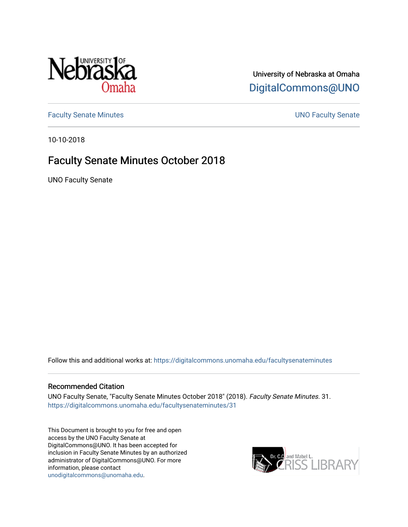

# University of Nebraska at Omaha [DigitalCommons@UNO](https://digitalcommons.unomaha.edu/)

[Faculty Senate Minutes](https://digitalcommons.unomaha.edu/facultysenateminutes) **Example 2018** UNO Faculty Senate

10-10-2018

# Faculty Senate Minutes October 2018

UNO Faculty Senate

Follow this and additional works at: [https://digitalcommons.unomaha.edu/facultysenateminutes](https://digitalcommons.unomaha.edu/facultysenateminutes?utm_source=digitalcommons.unomaha.edu%2Ffacultysenateminutes%2F31&utm_medium=PDF&utm_campaign=PDFCoverPages) 

#### Recommended Citation

UNO Faculty Senate, "Faculty Senate Minutes October 2018" (2018). Faculty Senate Minutes. 31. [https://digitalcommons.unomaha.edu/facultysenateminutes/31](https://digitalcommons.unomaha.edu/facultysenateminutes/31?utm_source=digitalcommons.unomaha.edu%2Ffacultysenateminutes%2F31&utm_medium=PDF&utm_campaign=PDFCoverPages) 

This Document is brought to you for free and open access by the UNO Faculty Senate at DigitalCommons@UNO. It has been accepted for inclusion in Faculty Senate Minutes by an authorized administrator of DigitalCommons@UNO. For more information, please contact [unodigitalcommons@unomaha.edu.](mailto:unodigitalcommons@unomaha.edu)

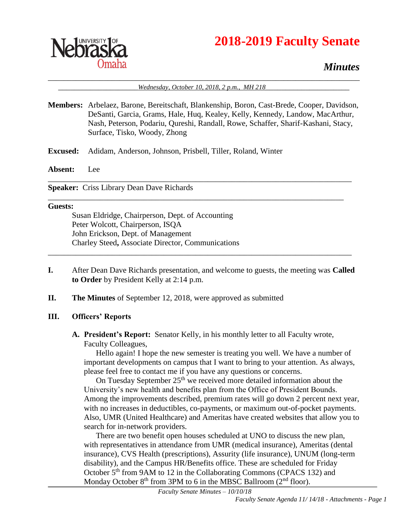



# *Minutes*

\_\_\_\_\_\_\_\_\_\_\_\_\_\_\_\_\_\_\_\_\_\_\_\_\_\_\_\_\_\_\_\_\_\_\_\_\_\_\_\_\_\_\_\_\_\_\_\_\_\_\_\_\_\_\_\_\_\_\_\_\_\_\_\_\_\_\_\_\_\_\_\_\_\_\_\_\_\_ Wednesday, October 10, 2018, 2 p.m., MH 218

**Members:** Arbelaez, Barone, Bereitschaft, Blankenship, Boron, Cast-Brede, Cooper, Davidson, DeSanti, Garcia, Grams, Hale, Huq, Kealey, Kelly, Kennedy, Landow, MacArthur, Nash, Peterson, Podariu, Qureshi, Randall, Rowe, Schaffer, Sharif-Kashani, Stacy, Surface, Tisko, Woody, Zhong

\_\_\_\_\_\_\_\_\_\_\_\_\_\_\_\_\_\_\_\_\_\_\_\_\_\_\_\_\_\_\_\_\_\_\_\_\_\_\_\_\_\_\_\_\_\_\_\_\_\_\_\_\_\_\_\_\_\_\_\_\_\_\_\_\_\_\_\_\_\_\_\_\_\_\_\_

\_\_\_\_\_\_\_\_\_\_\_\_\_\_\_\_\_\_\_\_\_\_\_\_\_\_\_\_\_\_\_\_\_\_\_\_\_\_\_\_\_\_\_\_\_\_\_\_\_\_\_\_\_\_\_\_\_\_\_\_\_\_\_\_\_\_\_\_\_\_\_\_\_\_

- **Excused:** Adidam, Anderson, Johnson, Prisbell, Tiller, Roland, Winter
- **Absent:** Lee

**Speaker:** Criss Library Dean Dave Richards

#### **Guests:**

Susan Eldridge, Chairperson, Dept. of Accounting Peter Wolcott, Chairperson, ISQA John Erickson, Dept. of Management Charley Steed**,** Associate Director, Communications

**I.** After Dean Dave Richards presentation, and welcome to guests, the meeting was **Called to Order** by President Kelly at 2:14 p.m.

\_\_\_\_\_\_\_\_\_\_\_\_\_\_\_\_\_\_\_\_\_\_\_\_\_\_\_\_\_\_\_\_\_\_\_\_\_\_\_\_\_\_\_\_\_\_\_\_\_\_\_\_\_\_\_\_\_\_\_\_\_\_\_\_\_\_\_\_\_\_\_\_\_\_\_\_

**II. The Minutes** of September 12, 2018, were approved as submitted

### **III. Officers' Reports**

**A. President's Report:** Senator Kelly, in his monthly letter to all Faculty wrote, Faculty Colleagues,

Hello again! I hope the new semester is treating you well. We have a number of important developments on campus that I want to bring to your attention. As always, please feel free to contact me if you have any questions or concerns.

On Tuesday September 25<sup>th</sup> we received more detailed information about the University's new health and benefits plan from the Office of President Bounds. Among the improvements described, premium rates will go down 2 percent next year, with no increases in deductibles, co-payments, or maximum out-of-pocket payments. Also, UMR (United Healthcare) and Ameritas have created websites that allow you to search for in-network providers.

There are two benefit open houses scheduled at UNO to discuss the new plan, with representatives in attendance from UMR (medical insurance), Ameritas (dental insurance), CVS Health (prescriptions), Assurity (life insurance), UNUM (long-term disability), and the Campus HR/Benefits office. These are scheduled for Friday October 5<sup>th</sup> from 9AM to 12 in the Collaborating Commons (CPACS 132) and Monday October  $8<sup>th</sup>$  from 3PM to 6 in the MBSC Ballroom ( $2<sup>nd</sup>$  floor).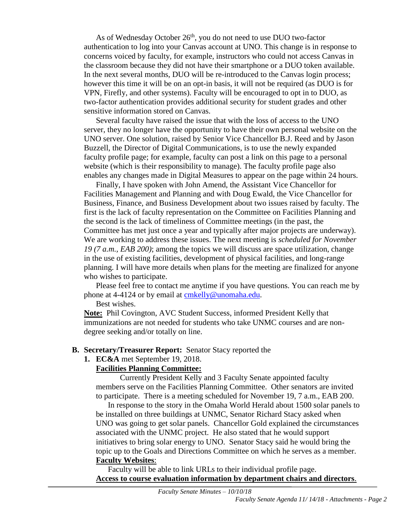As of Wednesday October 26<sup>th</sup>, you do not need to use DUO two-factor authentication to log into your Canvas account at UNO. This change is in response to concerns voiced by faculty, for example, instructors who could not access Canvas in the classroom because they did not have their smartphone or a DUO token available. In the next several months, DUO will be re-introduced to the Canvas login process; however this time it will be on an opt-in basis, it will not be required (as DUO is for VPN, Firefly, and other systems). Faculty will be encouraged to opt in to DUO, as two-factor authentication provides additional security for student grades and other sensitive information stored on Canvas.

Several faculty have raised the issue that with the loss of access to the UNO server, they no longer have the opportunity to have their own personal website on the UNO server. One solution, raised by Senior Vice Chancellor B.J. Reed and by Jason Buzzell, the Director of Digital Communications, is to use the newly expanded faculty profile page; for example, faculty can post a link on this page to a personal website (which is their responsibility to manage). The faculty profile page also enables any changes made in Digital Measures to appear on the page within 24 hours.

Finally, I have spoken with John Amend, the Assistant Vice Chancellor for Facilities Management and Planning and with Doug Ewald, the Vice Chancellor for Business, Finance, and Business Development about two issues raised by faculty. The first is the lack of faculty representation on the Committee on Facilities Planning and the second is the lack of timeliness of Committee meetings (in the past, the Committee has met just once a year and typically after major projects are underway). We are working to address these issues. The next meeting is *scheduled for November 19 (7 a.m., EAB 200)*; among the topics we will discuss are space utilization, change in the use of existing facilities, development of physical facilities, and long-range planning. I will have more details when plans for the meeting are finalized for anyone who wishes to participate.

Please feel free to contact me anytime if you have questions. You can reach me by phone at 4-4124 or by email at [cmkelly@unomaha.edu.](mailto:cmkelly@unomaha.edu)

Best wishes.

**Note:** Phil Covington, AVC Student Success, informed President Kelly that immunizations are not needed for students who take UNMC courses and are nondegree seeking and/or totally on line.

#### **B. Secretary/Treasurer Report:** Senator Stacy reported the

#### **1. EC&A** met September 19, 2018.

#### **Facilities Planning Committee:**

Currently President Kelly and 3 Faculty Senate appointed faculty members serve on the Facilities Planning Committee. Other senators are invited to participate. There is a meeting scheduled for November 19, 7 a.m., EAB 200.

In response to the story in the Omaha World Herald about 1500 solar panels to be installed on three buildings at UNMC, Senator Richard Stacy asked when UNO was going to get solar panels. Chancellor Gold explained the circumstances associated with the UNMC project. He also stated that he would support initiatives to bring solar energy to UNO. Senator Stacy said he would bring the topic up to the Goals and Directions Committee on which he serves as a member. **Faculty Websites**:

Faculty will be able to link URLs to their individual profile page. **Access to course evaluation information by department chairs and directors**.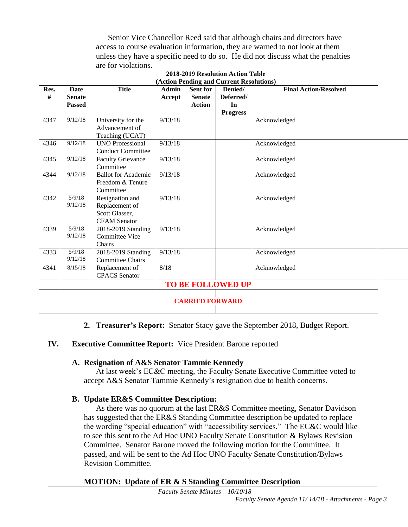Senior Vice Chancellor Reed said that although chairs and directors have access to course evaluation information, they are warned to not look at them unless they have a specific need to do so. He did not discuss what the penalties are for violations.

| Res.<br># | <b>Date</b><br><b>Senate</b><br><b>Passed</b> | <b>Title</b>                                                               | <b>Admin</b><br>Accept | <b>Sent for</b><br><b>Senate</b><br>Action | Denied/<br>Deferred/<br>In<br><b>Progress</b> | <b>Final Action/Resolved</b> |  |
|-----------|-----------------------------------------------|----------------------------------------------------------------------------|------------------------|--------------------------------------------|-----------------------------------------------|------------------------------|--|
| 4347      | 9/12/18                                       | University for the<br>Advancement of<br>Teaching (UCAT)                    | 9/13/18                |                                            |                                               | Acknowledged                 |  |
| 4346      | 9/12/18                                       | <b>UNO Professional</b><br><b>Conduct Committee</b>                        | 9/13/18                |                                            |                                               | Acknowledged                 |  |
| 4345      | 9/12/18                                       | <b>Faculty Grievance</b><br>Committee                                      | 9/13/18                |                                            |                                               | Acknowledged                 |  |
| 4344      | 9/12/18                                       | <b>Ballot</b> for Academic<br>Freedom & Tenure<br>Committee                | 9/13/18                |                                            |                                               | Acknowledged                 |  |
| 4342      | 5/9/18<br>9/12/18                             | Resignation and<br>Replacement of<br>Scott Glasser,<br><b>CFAM</b> Senator | 9/13/18                |                                            |                                               | Acknowledged                 |  |
| 4339      | 5/9/18<br>9/12/18                             | 2018-2019 Standing<br><b>Committee Vice</b><br>Chairs                      | 9/13/18                |                                            |                                               | Acknowledged                 |  |
| 4333      | 5/9/18<br>9/12/18                             | 2018-2019 Standing<br><b>Committee Chairs</b>                              | 9/13/18                |                                            |                                               | Acknowledged                 |  |
| 4341      | 8/15/18                                       | Replacement of<br><b>CPACS</b> Senator                                     | 8/18                   |                                            |                                               | Acknowledged                 |  |
|           |                                               |                                                                            |                        |                                            | <b>TO BE FOLLOWED UP</b>                      |                              |  |
|           |                                               |                                                                            |                        |                                            |                                               |                              |  |
|           |                                               |                                                                            |                        | <b>CARRIED FORWARD</b>                     |                                               |                              |  |
|           |                                               |                                                                            |                        |                                            |                                               |                              |  |

#### **2018-2019 Resolution Action Table (Action Pending and Current Resolutions)**

**2. Treasurer's Report:** Senator Stacy gave the September 2018, Budget Report.

### **IV. Executive Committee Report:** Vice President Barone reported

### **A. Resignation of A&S Senator Tammie Kennedy**

At last week's EC&C meeting, the Faculty Senate Executive Committee voted to accept A&S Senator Tammie Kennedy's resignation due to health concerns.

### **B. Update ER&S Committee Description:**

As there was no quorum at the last ER&S Committee meeting, Senator Davidson has suggested that the ER&S Standing Committee description be updated to replace the wording "special education" with "accessibility services." The EC&C would like to see this sent to the Ad Hoc UNO Faculty Senate Constitution & Bylaws Revision Committee. Senator Barone moved the following motion for the Committee. It passed, and will be sent to the Ad Hoc UNO Faculty Senate Constitution/Bylaws Revision Committee.

### **MOTION: Update of ER & S Standing Committee Description**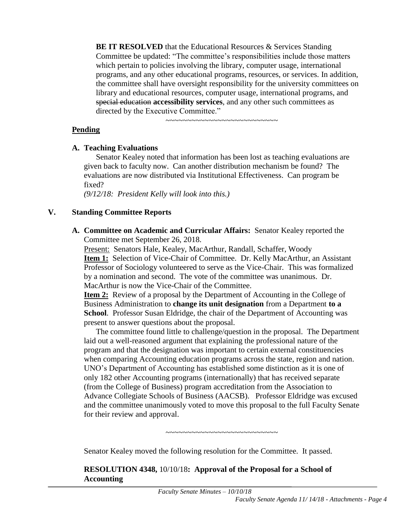**BE IT RESOLVED** that the Educational Resources & Services Standing Committee be updated: "The committee's responsibilities include those matters which pertain to policies involving the library, computer usage, international programs, and any other educational programs, resources, or services. In addition, the committee shall have oversight responsibility for the university committees on library and educational resources, computer usage, international programs, and special education **accessibility services**, and any other such committees as directed by the Executive Committee."

~~~~~~~~~~~~~~~~~~~~~~~~~~

### **Pending**

### **A. Teaching Evaluations**

Senator Kealey noted that information has been lost as teaching evaluations are given back to faculty now. Can another distribution mechanism be found? The evaluations are now distributed via Institutional Effectiveness. Can program be fixed?

*(9/12/18: President Kelly will look into this.)*

### **V. Standing Committee Reports**

**A. Committee on Academic and Curricular Affairs:** Senator Kealey reported the Committee met September 26, 2018.

Present: Senators Hale, Kealey, MacArthur, Randall, Schaffer, Woody **Item 1:** Selection of Vice-Chair of Committee. Dr. Kelly MacArthur, an Assistant Professor of Sociology volunteered to serve as the Vice-Chair. This was formalized by a nomination and second. The vote of the committee was unanimous. Dr. MacArthur is now the Vice-Chair of the Committee.

**<u>Item 2:</u>** Review of a proposal by the Department of Accounting in the College of Business Administration to **change its unit designation** from a Department **to a School**. Professor Susan Eldridge, the chair of the Department of Accounting was present to answer questions about the proposal.

The committee found little to challenge/question in the proposal. The Department laid out a well-reasoned argument that explaining the professional nature of the program and that the designation was important to certain external constituencies when comparing Accounting education programs across the state, region and nation. UNO's Department of Accounting has established some distinction as it is one of only 182 other Accounting programs (internationally) that has received separate (from the College of Business) program accreditation from the Association to Advance Collegiate Schools of Business (AACSB). Professor Eldridge was excused and the committee unanimously voted to move this proposal to the full Faculty Senate for their review and approval.

~~~~~~~~~~~~~~~~~~~~~~~~~~

Senator Kealey moved the following resolution for the Committee. It passed.

#### **RESOLUTION 4348,** 10/10/18**: Approval of the Proposal for a School of Accounting**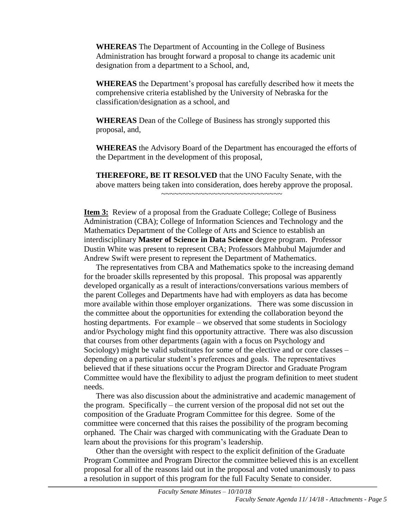**WHEREAS** The Department of Accounting in the College of Business Administration has brought forward a proposal to change its academic unit designation from a department to a School, and,

**WHEREAS** the Department's proposal has carefully described how it meets the comprehensive criteria established by the University of Nebraska for the classification/designation as a school, and

**WHEREAS** Dean of the College of Business has strongly supported this proposal, and,

**WHEREAS** the Advisory Board of the Department has encouraged the efforts of the Department in the development of this proposal,

**THEREFORE, BE IT RESOLVED** that the UNO Faculty Senate, with the above matters being taken into consideration, does hereby approve the proposal.  $~\sim$   $~\sim$   $~\sim$   $~\sim$   $~\sim$   $~\sim$   $~\sim$   $~\sim$   $~\sim$   $~\sim$   $~\sim$   $~\sim$   $~\sim$   $~\sim$   $~\sim$   $~\sim$   $~\sim$   $~\sim$   $~\sim$   $~\sim$   $~\sim$   $~\sim$   $~\sim$   $~\sim$   $~\sim$   $~\sim$   $~\sim$   $~\sim$   $~\sim$   $~\sim$   $~\sim$   $~\sim$   $~\sim$   $~\sim$   $~\sim$   $~\sim$   $~\sim$ 

**Item 3:** Review of a proposal from the Graduate College; College of Business Administration (CBA); College of Information Sciences and Technology and the Mathematics Department of the College of Arts and Science to establish an interdisciplinary **Master of Science in Data Science** degree program. Professor Dustin White was present to represent CBA; Professors Mahbubul Majumder and Andrew Swift were present to represent the Department of Mathematics.

The representatives from CBA and Mathematics spoke to the increasing demand for the broader skills represented by this proposal. This proposal was apparently developed organically as a result of interactions/conversations various members of the parent Colleges and Departments have had with employers as data has become more available within those employer organizations. There was some discussion in the committee about the opportunities for extending the collaboration beyond the hosting departments. For example – we observed that some students in Sociology and/or Psychology might find this opportunity attractive. There was also discussion that courses from other departments (again with a focus on Psychology and Sociology) might be valid substitutes for some of the elective and or core classes – depending on a particular student's preferences and goals. The representatives believed that if these situations occur the Program Director and Graduate Program Committee would have the flexibility to adjust the program definition to meet student needs.

There was also discussion about the administrative and academic management of the program. Specifically – the current version of the proposal did not set out the composition of the Graduate Program Committee for this degree. Some of the committee were concerned that this raises the possibility of the program becoming orphaned. The Chair was charged with communicating with the Graduate Dean to learn about the provisions for this program's leadership.

Other than the oversight with respect to the explicit definition of the Graduate Program Committee and Program Director the committee believed this is an excellent proposal for all of the reasons laid out in the proposal and voted unanimously to pass a resolution in support of this program for the full Faculty Senate to consider.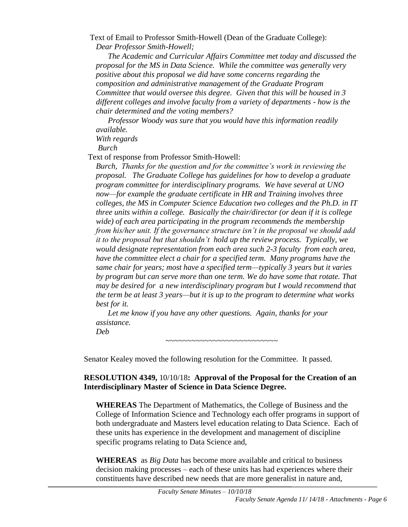Text of Email to Professor Smith-Howell (Dean of the Graduate College): *Dear Professor Smith-Howell;*

*The Academic and Curricular Affairs Committee met today and discussed the proposal for the MS in Data Science. While the committee was generally very positive about this proposal we did have some concerns regarding the composition and administrative management of the Graduate Program Committee that would oversee this degree. Given that this will be housed in 3 different colleges and involve faculty from a variety of departments - how is the chair determined and the voting members?*

*Professor Woody was sure that you would have this information readily available. With regards*

*Burch*

Text of response from Professor Smith-Howell:

*Burch, Thanks for the question and for the committee's work in reviewing the proposal. The Graduate College has guidelines for how to develop a graduate program committee for interdisciplinary programs. We have several at UNO now—for example the graduate certificate in HR and Training involves three colleges, the MS in Computer Science Education two colleges and the Ph.D. in IT three units within a college. Basically the chair/director (or dean if it is college wide) of each area participating in the program recommends the membership from his/her unit. If the governance structure isn't in the proposal we should add it to the proposal but that shouldn't hold up the review process. Typically, we would designate representation from each area such 2-3 faculty from each area, have the committee elect a chair for a specified term. Many programs have the same chair for years; most have a specified term—typically 3 years but it varies by program but can serve more than one term. We do have some that rotate. That may be desired for a new interdisciplinary program but I would recommend that the term be at least 3 years—but it is up to the program to determine what works best for it.*

*Let me know if you have any other questions. Again, thanks for your assistance. Deb* 

~~~~~~~~~~~~~~~~~~~~~~~~~~

Senator Kealey moved the following resolution for the Committee. It passed.

#### **RESOLUTION 4349,** 10/10/18**: Approval of the Proposal for the Creation of an Interdisciplinary Master of Science in Data Science Degree.**

**WHEREAS** The Department of Mathematics, the College of Business and the College of Information Science and Technology each offer programs in support of both undergraduate and Masters level education relating to Data Science. Each of these units has experience in the development and management of discipline specific programs relating to Data Science and,

**WHEREAS** as *Big Data* has become more available and critical to business decision making processes – each of these units has had experiences where their constituents have described new needs that are more generalist in nature and,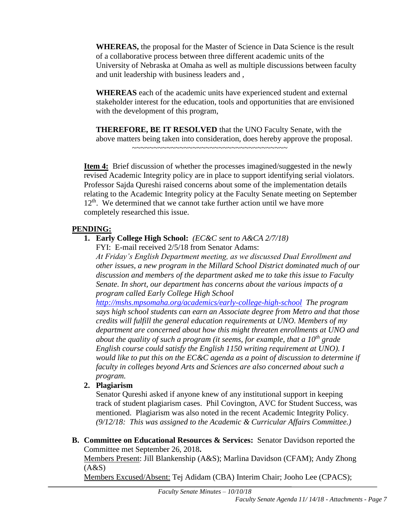**WHEREAS,** the proposal for the Master of Science in Data Science is the result of a collaborative process between three different academic units of the University of Nebraska at Omaha as well as multiple discussions between faculty and unit leadership with business leaders and ,

**WHEREAS** each of the academic units have experienced student and external stakeholder interest for the education, tools and opportunities that are envisioned with the development of this program,

**THEREFORE, BE IT RESOLVED** that the UNO Faculty Senate, with the above matters being taken into consideration, does hereby approve the proposal. ~~~~~~~~~~~~~~~~~~~~~~~~~~~~~~~~~~~~

**Item 4:** Brief discussion of whether the processes imagined/suggested in the newly revised Academic Integrity policy are in place to support identifying serial violators. Professor Sajda Qureshi raised concerns about some of the implementation details relating to the Academic Integrity policy at the Faculty Senate meeting on September  $12<sup>th</sup>$ . We determined that we cannot take further action until we have more completely researched this issue.

### **PENDING:**

**1. Early College High School:** *(EC&C sent to A&CA 2/7/18)*

FYI: E-mail received 2/5/18 from Senator Adams:

*At Friday's English Department meeting, as we discussed Dual Enrollment and other issues, a new program in the Millard School District dominated much of our discussion and members of the department asked me to take this issue to Faculty Senate. In short, our department has concerns about the various impacts of a program called Early College High School* 

*<http://mshs.mpsomaha.org/academics/early-college-high-school> The program says high school students can earn an Associate degree from Metro and that those credits will fulfill the general education requirements at UNO. Members of my department are concerned about how this might threaten enrollments at UNO and about the quality of such a program (it seems, for example, that a 10th grade English course could satisfy the English 1150 writing requirement at UNO). I would like to put this on the EC&C agenda as a point of discussion to determine if faculty in colleges beyond Arts and Sciences are also concerned about such a program.*

# **2. Plagiarism**

Senator Qureshi asked if anyone knew of any institutional support in keeping track of student plagiarism cases. Phil Covington, AVC for Student Success, was mentioned. Plagiarism was also noted in the recent Academic Integrity Policy. *(9/12/18: This was assigned to the Academic & Curricular Affairs Committee.)* 

**B. Committee on Educational Resources & Services:** Senator Davidson reported the Committee met September 26, 2018**.**

Members Present: Jill Blankenship (A&S); Marlina Davidson (CFAM); Andy Zhong  $(A&S)$ 

Members Excused/Absent: Tej Adidam (CBA) Interim Chair; Jooho Lee (CPACS);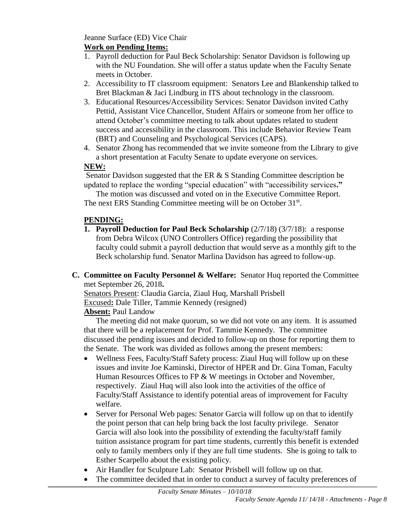Jeanne Surface (ED) Vice Chair

# **Work on Pending Items:**

- 1. Payroll deduction for Paul Beck Scholarship: Senator Davidson is following up with the NU Foundation. She will offer a status update when the Faculty Senate meets in October.
- 2. Accessibility to IT classroom equipment: Senators Lee and Blankenship talked to Bret Blackman & Jaci Lindburg in ITS about technology in the classroom.
- 3. Educational Resources/Accessibility Services: Senator Davidson invited Cathy Pettid, Assistant Vice Chancellor, Student Affairs or someone from her office to attend October's committee meeting to talk about updates related to student success and accessibility in the classroom. This include Behavior Review Team (BRT) and Counseling and Psychological Services (CAPS).
- 4. Senator Zhong has recommended that we invite someone from the Library to give a short presentation at Faculty Senate to update everyone on services.

# **NEW:**

Senator Davidson suggested that the ER & S Standing Committee description be updated to replace the wording "special education" with "accessibility services**."**

The motion was discussed and voted on in the Executive Committee Report. The next ERS Standing Committee meeting will be on October 31st.

# **PENDING:**

- **1. Payroll Deduction for Paul Beck Scholarship**  $(2/7/18)$   $(3/7/18)$ : a response from Debra Wilcox (UNO Controllers Office) regarding the possibility that faculty could submit a payroll deduction that would serve as a monthly gift to the Beck scholarship fund. Senator Marlina Davidson has agreed to follow-up.
- **C. Committee on Faculty Personnel & Welfare:** Senator Huq reported the Committee met September 26, 2018**.**

Senators Present: Claudia Garcia, Ziaul Huq, Marshall Prisbell

Excused**:** Dale Tiller, Tammie Kennedy (resigned)

**Absent:** Paul Landow

The meeting did not make quorum, so we did not vote on any item. It is assumed that there will be a replacement for Prof. Tammie Kennedy. The committee discussed the pending issues and decided to follow-up on those for reporting them to the Senate. The work was divided as follows among the present members:

- Wellness Fees, Faculty/Staff Safety process: Ziaul Huq will follow up on these issues and invite Joe Kaminski, Director of HPER and Dr. Gina Toman, Faculty Human Resources Offices to FP & W meetings in October and November, respectively. Ziaul Huq will also look into the activities of the office of Faculty/Staff Assistance to identify potential areas of improvement for Faculty welfare.
- Server for Personal Web pages: Senator Garcia will follow up on that to identify the point person that can help bring back the lost faculty privilege. Senator Garcia will also look into the possibility of extending the faculty/staff family tuition assistance program for part time students, currently this benefit is extended only to family members only if they are full time students. She is going to talk to Esther Scarpello about the existing policy.
- Air Handler for Sculpture Lab: Senator Prisbell will follow up on that.
- The committee decided that in order to conduct a survey of faculty preferences of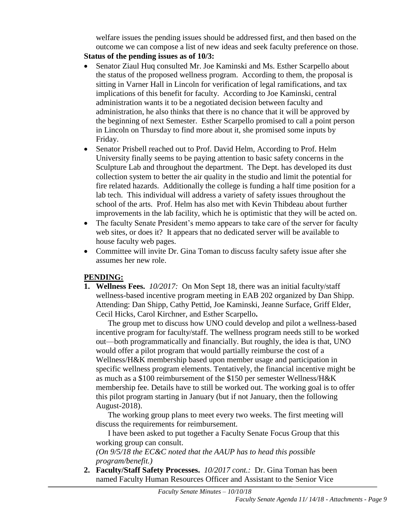welfare issues the pending issues should be addressed first, and then based on the outcome we can compose a list of new ideas and seek faculty preference on those.

# **Status of the pending issues as of 10/3:**

- Senator Ziaul Huq consulted Mr. Joe Kaminski and Ms. Esther Scarpello about the status of the proposed wellness program. According to them, the proposal is sitting in Varner Hall in Lincoln for verification of legal ramifications, and tax implications of this benefit for faculty. According to Joe Kaminski, central administration wants it to be a negotiated decision between faculty and administration, he also thinks that there is no chance that it will be approved by the beginning of next Semester. Esther Scarpello promised to call a point person in Lincoln on Thursday to find more about it, she promised some inputs by Friday.
- Senator Prisbell reached out to Prof. David Helm, According to Prof. Helm University finally seems to be paying attention to basic safety concerns in the Sculpture Lab and throughout the department. The Dept. has developed its dust collection system to better the air quality in the studio and limit the potential for fire related hazards. Additionally the college is funding a half time position for a lab tech. This individual will address a variety of safety issues throughout the school of the arts. Prof. Helm has also met with Kevin Thibdeau about further improvements in the lab facility, which he is optimistic that they will be acted on.
- The faculty Senate President's memo appears to take care of the server for faculty web sites, or does it? It appears that no dedicated server will be available to house faculty web pages.
- Committee will invite Dr. Gina Toman to discuss faculty safety issue after she assumes her new role.

# **PENDING:**

**1. Wellness Fees.** *10/2017:*On Mon Sept 18, there was an initial faculty/staff wellness-based incentive program meeting in EAB 202 organized by Dan Shipp. Attending: Dan Shipp, Cathy Pettid, Joe Kaminski, Jeanne Surface, Griff Elder, Cecil Hicks, Carol Kirchner, and Esther Scarpello**.**

The group met to discuss how UNO could develop and pilot a wellness-based incentive program for faculty/staff. The wellness program needs still to be worked out—both programmatically and financially. But roughly, the idea is that, UNO would offer a pilot program that would partially reimburse the cost of a Wellness/H&K membership based upon member usage and participation in specific wellness program elements. Tentatively, the financial incentive might be as much as a \$100 reimbursement of the \$150 per semester Wellness/H&K membership fee. Details have to still be worked out. The working goal is to offer this pilot program starting in January (but if not January, then the following August-2018).

The working group plans to meet every two weeks. The first meeting will discuss the requirements for reimbursement.

I have been asked to put together a Faculty Senate Focus Group that this working group can consult.

*(On 9/5/18 the EC&C noted that the AAUP has to head this possible program/benefit.)*

**2. Faculty/Staff Safety Processes.** *10/2017 cont.:* Dr. Gina Toman has been named Faculty Human Resources Officer and Assistant to the Senior Vice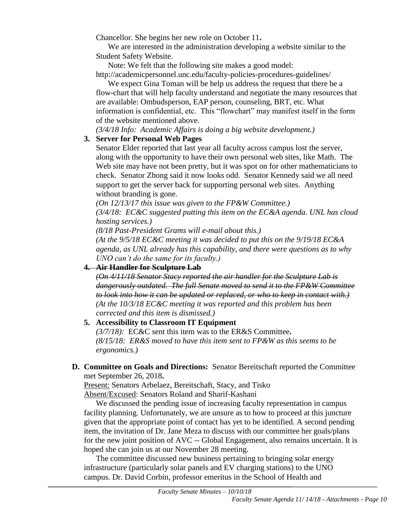Chancellor. She begins her new role on October 11**.**

We are interested in the administration developing a website similar to the Student Safety Website.

Note: We felt that the following site makes a good model:

http://academicpersonnel.unc.edu/faculty-policies-procedures-guidelines/ We expect Gina Toman will be help us address the request that there be a

flow-chart that will help faculty understand and negotiate the many resources that are available: Ombudsperson, EAP person, counseling, BRT, etc. What information is confidential, etc. This "flowchart" may manifest itself in the form of the website mentioned above.

*(3/4/18 Info: Academic Affairs is doing a big website development.)*

# **3. Server for Personal Web Pages**

Senator Elder reported that last year all faculty across campus lost the server, along with the opportunity to have their own personal web sites, like Math. The Web site may have not been pretty, but it was spot on for other mathematicians to check. Senator Zhong said it now looks odd. Senator Kennedy said we all need support to get the server back for supporting personal web sites. Anything without branding is gone.

*(On 12/13/17 this issue was given to the FP&W Committee.) (3/4/18: EC&C suggested putting this item on the EC&A agenda. UNL has cloud hosting services.)*

*(8/18 Past-President Grams will e-mail about this.)*

*(At the 9/5/18 EC&C meeting it was decided to put this on the 9/19/18 EC&A agenda, as UNL already has this capability, and there were questions as to why UNO can't do the same for its faculty.)*

# **4. Air Handler for Sculpture Lab**

*(On 4/11/18 Senator Stacy reported the air handler for the Sculpture Lab is dangerously outdated. The full Senate moved to send it to the FP&W Committee to look into how it can be updated or replaced, or who to keep in contact with.) (At the 10/3/18 EC&C meeting it was reported and this problem has been corrected and this item is dismissed.)*

# **5. Accessibility to Classroom IT Equipment**

*(3/7/18):* EC&C sent this item was to the ER&S Committee**.**  *(8/15/18: ER&S moved to have this item sent to FP&W as this seems to be ergonomics.)* 

# **D. Committee on Goals and Directions:** Senator Bereitschaft reported the Committee met September 26, 2018**.**

Present: Senators Arbelaez, Bereitschaft, Stacy, and Tisko Absent/Excused: Senators Roland and Sharif-Kashani

We discussed the pending issue of increasing faculty representation in campus facility planning. Unfortunately, we are unsure as to how to proceed at this juncture given that the appropriate point of contact has yet to be identified. A second pending item, the invitation of Dr. Jane Meza to discuss with our committee her goals/plans for the new joint position of AVC -- Global Engagement, also remains uncertain. It is hoped she can join us at our November 28 meeting.

The committee discussed new business pertaining to bringing solar energy infrastructure (particularly solar panels and EV charging stations) to the UNO campus. Dr. David Corbin, professor emeritus in the School of Health and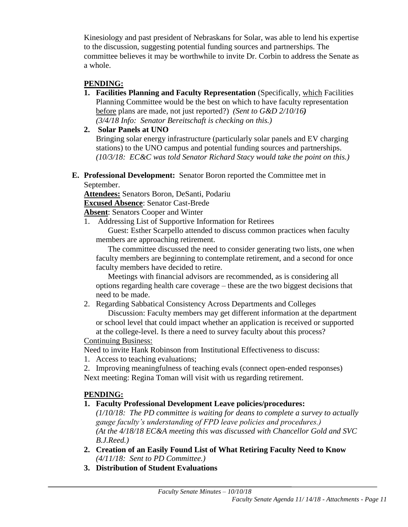Kinesiology and past president of Nebraskans for Solar, was able to lend his expertise to the discussion, suggesting potential funding sources and partnerships. The committee believes it may be worthwhile to invite Dr. Corbin to address the Senate as a whole.

# **PENDING:**

- **1. Facilities Planning and Faculty Representation** (Specifically, which Facilities Planning Committee would be the best on which to have faculty representation before plans are made, not just reported?) *(Sent to G&D 2/10/16) (3/4/18 Info: Senator Bereitschaft is checking on this.)*
- **2. Solar Panels at UNO**

Bringing solar energy infrastructure (particularly solar panels and EV charging stations) to the UNO campus and potential funding sources and partnerships. *(10/3/18: EC&C was told Senator Richard Stacy would take the point on this.)*

**E. Professional Development:** Senator Boron reported the Committee met in September.

**Attendees:** Senators Boron, DeSanti, Podariu

**Excused Absence**: Senator Cast-Brede

**Absent**: Senators Cooper and Winter

1. Addressing List of Supportive Information for Retirees

Guest: Esther Scarpello attended to discuss common practices when faculty members are approaching retirement.

The committee discussed the need to consider generating two lists, one when faculty members are beginning to contemplate retirement, and a second for once faculty members have decided to retire.

Meetings with financial advisors are recommended, as is considering all options regarding health care coverage – these are the two biggest decisions that need to be made.

2. Regarding Sabbatical Consistency Across Departments and Colleges

Discussion: Faculty members may get different information at the department or school level that could impact whether an application is received or supported at the college-level. Is there a need to survey faculty about this process?

Continuing Business:

Need to invite Hank Robinson from Institutional Effectiveness to discuss:

1. Access to teaching evaluations;

2. Improving meaningfulness of teaching evals (connect open-ended responses) Next meeting: Regina Toman will visit with us regarding retirement.

# **PENDING:**

**1. Faculty Professional Development Leave policies/procedures:** 

*(1/10/18: The PD committee is waiting for deans to complete a survey to actually gauge faculty's understanding of FPD leave policies and procedures.) (At the 4/18/18 EC&A meeting this was discussed with Chancellor Gold and SVC B.J.Reed.)*

- **2. Creation of an Easily Found List of What Retiring Faculty Need to Know** *(4/11/18: Sent to PD Committee.)*
- **3. Distribution of Student Evaluations**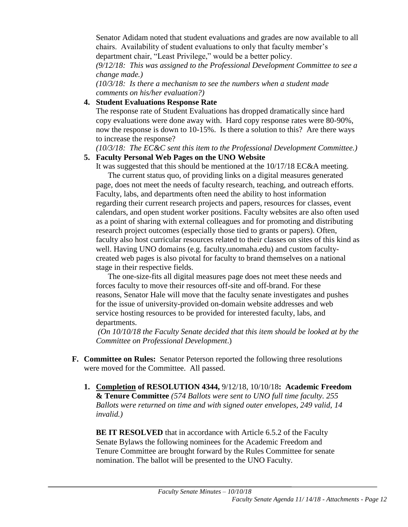Senator Adidam noted that student evaluations and grades are now available to all chairs. Availability of student evaluations to only that faculty member's department chair, "Least Privilege," would be a better policy.

*(9/12/18: This was assigned to the Professional Development Committee to see a change made.)*

*(10/3/18: Is there a mechanism to see the numbers when a student made comments on his/her evaluation?)*

# **4. Student Evaluations Response Rate**

The response rate of Student Evaluations has dropped dramatically since hard copy evaluations were done away with. Hard copy response rates were 80-90%, now the response is down to 10-15%. Is there a solution to this? Are there ways to increase the response?

*(10/3/18: The EC&C sent this item to the Professional Development Committee.)*

# **5. Faculty Personal Web Pages on the UNO Website**

It was suggested that this should be mentioned at the 10/17/18 EC&A meeting.

The current status quo, of providing links on a digital measures generated page, does not meet the needs of faculty research, teaching, and outreach efforts. Faculty, labs, and departments often need the ability to host information regarding their current research projects and papers, resources for classes, event calendars, and open student worker positions. Faculty websites are also often used as a point of sharing with external colleagues and for promoting and distributing research project outcomes (especially those tied to grants or papers). Often, faculty also host curricular resources related to their classes on sites of this kind as well. Having UNO domains (e.g. faculty.unomaha.edu) and custom facultycreated web pages is also pivotal for faculty to brand themselves on a national stage in their respective fields.

The one-size-fits all digital measures page does not meet these needs and forces faculty to move their resources off-site and off-brand. For these reasons, Senator Hale will move that the faculty senate investigates and pushes for the issue of university-provided on-domain website addresses and web service hosting resources to be provided for interested faculty, labs, and departments.

*(On 10/10/18 the Faculty Senate decided that this item should be looked at by the Committee on Professional Development*.)

- **F. Committee on Rules:** Senator Peterson reported the following three resolutions were moved for the Committee. All passed.
	- **1. Completion of RESOLUTION 4344,** 9/12/18, 10/10/18**: Academic Freedom & Tenure Committee** *(574 Ballots were sent to UNO full time faculty. 255 Ballots were returned on time and with signed outer envelopes, 249 valid, 14 invalid.)*

**BE IT RESOLVED** that in accordance with Article 6.5.2 of the Faculty Senate Bylaws the following nominees for the Academic Freedom and Tenure Committee are brought forward by the Rules Committee for senate nomination. The ballot will be presented to the UNO Faculty.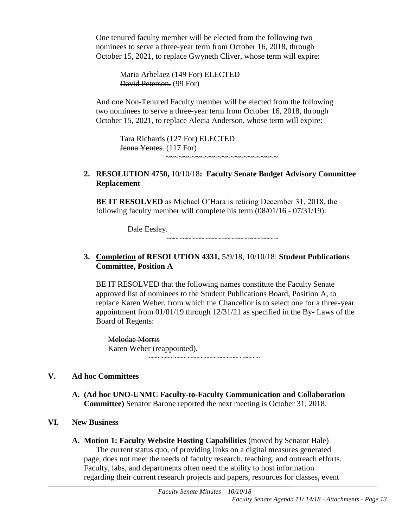One tenured faculty member will be elected from the following two nominees to serve a three-year term from October 16, 2018, through October 15, 2021, to replace Gwyneth Cliver, whose term will expire:

> Maria Arbelaez (149 For) ELECTED David Peterson. (99 For)

And one Non-Tenured Faculty member will be elected from the following two nominees to serve a three-year term from October 16, 2018, through October 15, 2021, to replace Alecia Anderson, whose term will expire:

Tara Richards (127 For) ELECTED Jenna Yentes. (117 For) ~~~~~~~~~~~~~~~~~~~~~~~~~~

### **2. RESOLUTION 4750,** 10/10/18**: Faculty Senate Budget Advisory Committee Replacement**

**BE IT RESOLVED** as Michael O'Hara is retiring December 31, 2018, the following faculty member will complete his term (08/01/16 - 07/31/19):

> Dale Eesley. ~~~~~~~~~~~~~~~~~~~~~~~~~~~~

### **3. Completion of RESOLUTION 4331,** 5/9/18, 10/10/18: **Student Publications Committee, Position A**

BE IT RESOLVED that the following names constitute the Faculty Senate approved list of nominees to the Student Publications Board, Position A, to replace Karen Weber, from which the Chancellor is to select one for a three-year appointment from 01/01/19 through 12/31/21 as specified in the By- Laws of the Board of Regents:

Melodae Morris Karen Weber (reappointed). ~~~~~~~~~~~~~~~~~~~~~~~~~~

# **V. Ad hoc Committees**

**A. (Ad hoc UNO-UNMC Faculty-to-Faculty Communication and Collaboration Committee)** Senator Barone reported the next meeting is October 31, 2018.

# **VI. New Business**

**A. Motion 1: Faculty Website Hosting Capabilities** (moved by Senator Hale) The current status quo, of providing links on a digital measures generated page, does not meet the needs of faculty research, teaching, and outreach efforts. Faculty, labs, and departments often need the ability to host information regarding their current research projects and papers, resources for classes, event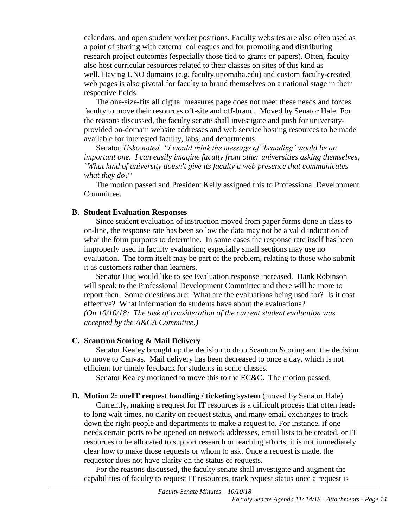calendars, and open student worker positions. Faculty websites are also often used as a point of sharing with external colleagues and for promoting and distributing research project outcomes (especially those tied to grants or papers). Often, faculty also host curricular resources related to their classes on sites of this kind as well. Having UNO domains (e.g. faculty.unomaha.edu) and custom faculty-created web pages is also pivotal for faculty to brand themselves on a national stage in their respective fields.

The one-size-fits all digital measures page does not meet these needs and forces faculty to move their resources off-site and off-brand. Moved by Senator Hale: For the reasons discussed, the faculty senate shall investigate and push for universityprovided on-domain website addresses and web service hosting resources to be made available for interested faculty, labs, and departments.

 Senator *Tisko noted, "I would think the message of 'branding' would be an important one. I can easily imagine faculty from other universities asking themselves, "What kind of university doesn't give its faculty a web presence that communicates what they do?"*

The motion passed and President Kelly assigned this to Professional Development Committee.

#### **B. Student Evaluation Responses**

Since student evaluation of instruction moved from paper forms done in class to on-line, the response rate has been so low the data may not be a valid indication of what the form purports to determine. In some cases the response rate itself has been improperly used in faculty evaluation; especially small sections may use no evaluation. The form itself may be part of the problem, relating to those who submit it as customers rather than learners.

Senator Huq would like to see Evaluation response increased. Hank Robinson will speak to the Professional Development Committee and there will be more to report then. Some questions are: What are the evaluations being used for? Is it cost effective? What information do students have about the evaluations? *(On 10/10/18: The task of consideration of the current student evaluation was accepted by the A&CA Committee.)*

#### **C. Scantron Scoring & Mail Delivery**

Senator Kealey brought up the decision to drop Scantron Scoring and the decision to move to Canvas. Mail delivery has been decreased to once a day, which is not efficient for timely feedback for students in some classes.

Senator Kealey motioned to move this to the EC&C. The motion passed.

**D. Motion 2: oneIT request handling / ticketing system** (moved by Senator Hale) Currently, making a request for IT resources is a difficult process that often leads to long wait times, no clarity on request status, and many email exchanges to track down the right people and departments to make a request to. For instance, if one needs certain ports to be opened on network addresses, email lists to be created, or IT resources to be allocated to support research or teaching efforts, it is not immediately clear how to make those requests or whom to ask. Once a request is made, the requestor does not have clarity on the status of requests.

For the reasons discussed, the faculty senate shall investigate and augment the capabilities of faculty to request IT resources, track request status once a request is